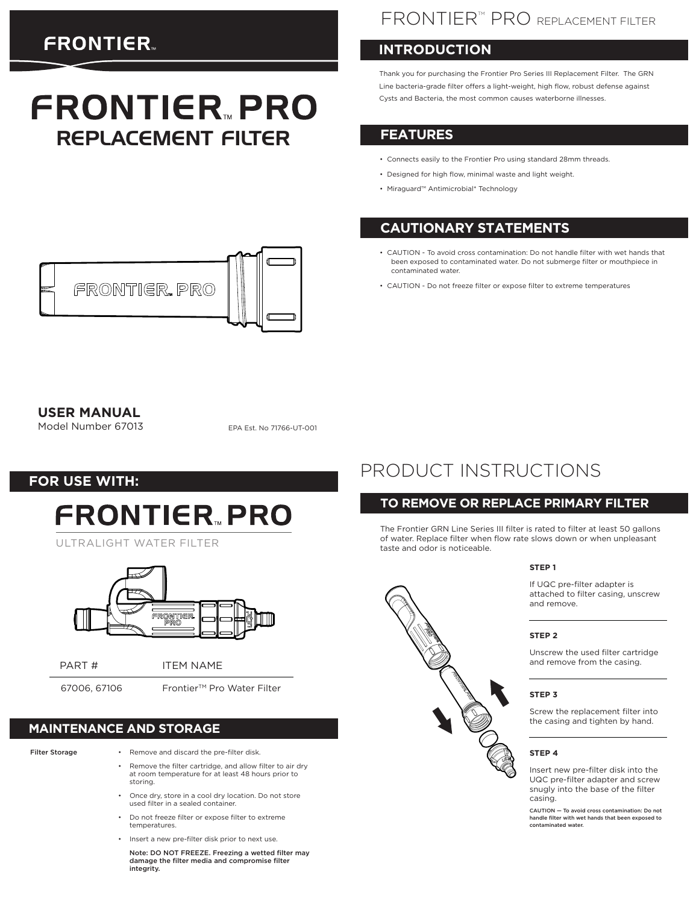# **FRONTIER**

# **FRONTIER PRO** REPLACEMENT FILTER

## FRONTIER<sup>™</sup> PRO REPLACEMENT FILTER

## **INTRODUCTION**

Thank you for purchasing the Frontier Pro Series III Replacement Filter. The GRN Line bacteria-grade filter offers a light-weight, high flow, robust defense against Cysts and Bacteria, the most common causes waterborne illnesses.

## **FEATURES**

- Connects easily to the Frontier Pro using standard 28mm threads.
- Designed for high flow, minimal waste and light weight.
- Miraguard™ Antimicrobial\* Technology

## **CAUTIONARY STATEMENTS**

- CAUTION To avoid cross contamination: Do not handle filter with wet hands that been exposed to contaminated water. Do not submerge filter or mouthpiece in contaminated water.
- CAUTION Do not freeze filter or expose filter to extreme temperatures



Model Number 67013

EPA Est. No 71766-UT-001

**FOR USE WITH:**

# **FRONTIER PRO**

ULTRALIGHT WATER FILTER



PART # ITEM NAME

67006, 67106 Frontier™ Pro Water Filter

## **MAINTENANCE AND STORAGE**

Filter Storage

- Remove and discard the pre-filter disk.
- Remove the filter cartridge, and allow filter to air dry at room temperature for at least 48 hours prior to storing.
- Once dry, store in a cool dry location. Do not store used filter in a sealed container.
- Do not freeze filter or expose filter to extreme temperatures.
- Insert a new pre-filter disk prior to next use.

Note: DO NOT FREEZE. Freezing a wetted filter may damage the filter media and compromise filter integrity.

# PRODUCT INSTRUCTIONS

### **TO REMOVE OR REPLACE PRIMARY FILTER**

The Frontier GRN Line Series III filter is rated to filter at least 50 gallons of water. Replace filter when flow rate slows down or when unpleasant taste and odor is noticeable.

#### **STEP 1**

If UQC pre-filter adapter is attached to filter casing, unscrew and remove.

#### **STEP 2**

Unscrew the used filter cartridge and remove from the casing.

#### **STEP 3**

Screw the replacement filter into the casing and tighten by hand.

#### **STEP 4**

Insert new pre-filter disk into the UQC pre-filter adapter and screw snugly into the base of the filter casing.

CAUTION — To avoid cross contamination: Do not handle filter with wet hands that been exposed to contaminated water.